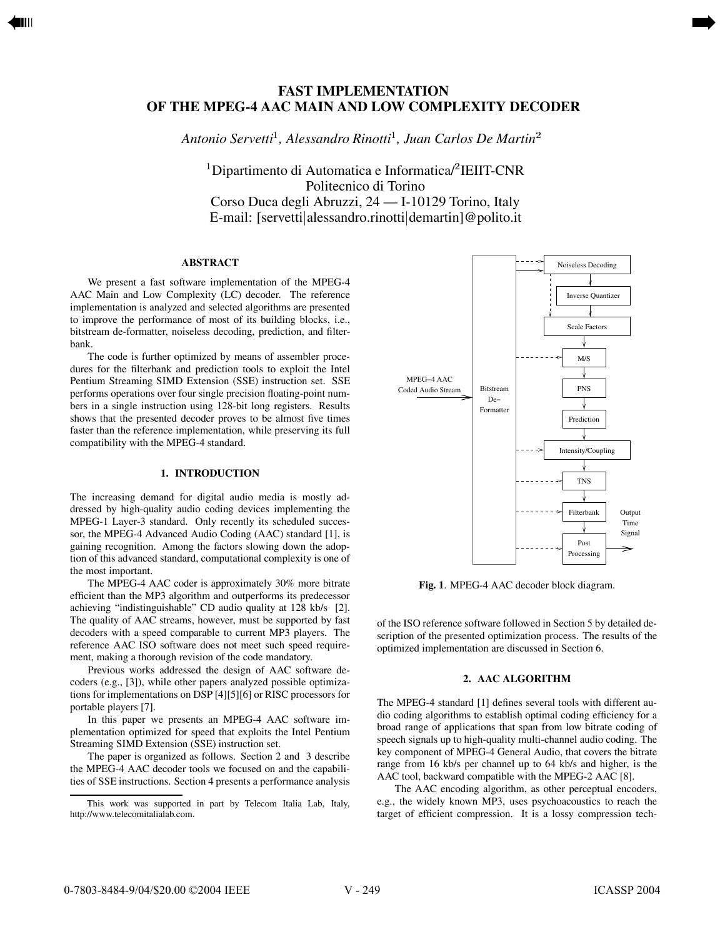# **FAST IMPLEMENTATION OF THE MPEG-4 AAC MAIN AND LOW COMPLEXITY DECODER**

<span id="page-0-0"></span>[➡](#page-1-0)

*Antonio Servetti , Alessandro Rinotti , Juan Carlos De Martin*

 $\rm ^1$ Dipartimento di Automatica e Informatica/ $\rm ^2$ IEIIT-CNR Politecnico di Torino Corso Duca degli Abruzzi, 24 — I-10129 Torino, Italy E-mail: [servetti|alessandro.rinotti|demartin]@polito.it

## **ABSTRACT**

We present a fast software implementation of the MPEG-4 AAC Main and Low Complexity (LC) decoder. The reference implementation is analyzed and selected algorithms are presented to improve the performance of most of its building blocks, i.e., bitstream de-formatter, noiseless decoding, prediction, and filterbank.

The code is further optimized by means of assembler procedures for the filterbank and prediction tools to exploit the Intel Pentium Streaming SIMD Extension (SSE) instruction set. SSE performs operations over four single precision floating-point numbers in a single instruction using 128-bit long registers. Results shows that the presented decoder proves to be almost five times faster than the reference implementation, while preserving its full compatibility with the MPEG-4 standard.

## **1. INTRODUCTION**

The increasing demand for digital audio media is mostly addressed by high-quality audio coding devices implementing the MPEG-1 Layer-3 standard. Only recently its scheduled successor, the MPEG-4 Advanced Audio Coding (AAC) standard [1], is gaining recognition. Among the factors slowing down the adoption of this advanced standard, computational complexity is one of the most important.

The MPEG-4 AAC coder is approximately 30% more bitrate efficient than the MP3 algorithm and outperforms its predecessor achieving "indistinguishable" CD audio quality at 128 kb/s [2]. The quality of AAC streams, however, must be supported by fast decoders with a speed comparable to current MP3 players. The reference AAC ISO software does not meet such speed requirement, making a thorough revision of the code mandatory.

Previous works addressed the design of AAC software decoders (e.g., [3]), while other papers analyzed possible optimizations for implementations on DSP [4][5][6] or RISC processors for portable players [7].

In this paper we presents an MPEG-4 AAC software implementation optimized for speed that exploits the Intel Pentium Streaming SIMD Extension (SSE) instruction set.

The paper is organized as follows. Section 2 and 3 describe the MPEG-4 AAC decoder tools we focused on and the capabilities of SSE instructions. Section 4 presents a performance analysis



**Fig. 1**. MPEG-4 AAC decoder block diagram.

of the ISO reference software followed in Section 5 by detailed description of the presented optimization process. The results of the optimized implementation are discussed in Section 6.

## **2. AAC ALGORITHM**

The MPEG-4 standard [1] defines several tools with different audio coding algorithms to establish optimal coding efficiency for a broad range of applications that span from low bitrate coding of speech signals up to high-quality multi-channel audio coding. The key component of MPEG-4 General Audio, that covers the bitrate range from 16 kb/s per channel up to 64 kb/s and higher, is the AAC tool, backward compatible with the MPEG-2 AAC [8].

The AAC encoding algorithm, as other perceptual encoders, e.g., the widely known MP3, uses psychoacoustics to reach the target of efficient compression. It is a lossy compression tech-

This work was supported in part by Telecom Italia Lab, Italy, http://www.telecomitalialab.com.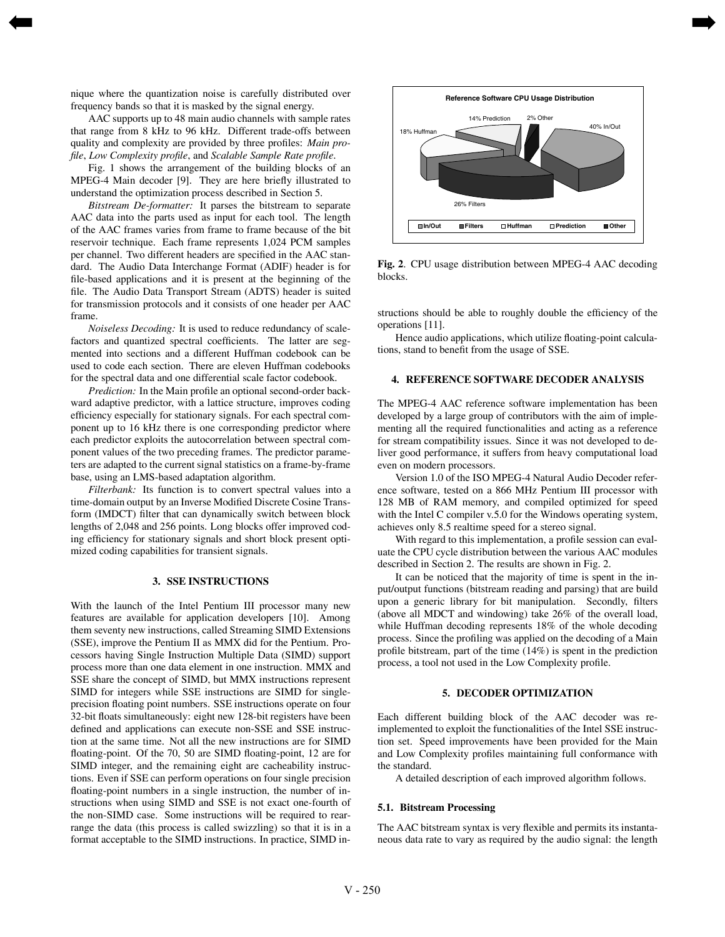nique where the quantization noise is carefully distributed over frequency bands so that it is masked by the signal energy.

<span id="page-1-0"></span>[➡](#page-0-0)

AAC supports up to 48 main audio channels with sample rates that range from 8 kHz to 96 kHz. Different trade-offs between quality and complexity are provided by three profiles: *Main profile*, *Low Complexity profile*, and *Scalable Sample Rate profile*.

Fig. 1 shows the arrangement of the building blocks of an MPEG-4 Main decoder [9]. They are here briefly illustrated to understand the optimization process described in Section 5.

*Bitstream De-formatter:* It parses the bitstream to separate AAC data into the parts used as input for each tool. The length of the AAC frames varies from frame to frame because of the bit reservoir technique. Each frame represents 1,024 PCM samples per channel. Two different headers are specified in the AAC standard. The Audio Data Interchange Format (ADIF) header is for file-based applications and it is present at the beginning of the file. The Audio Data Transport Stream (ADTS) header is suited for transmission protocols and it consists of one header per AAC frame.

*Noiseless Decoding:* It is used to reduce redundancy of scalefactors and quantized spectral coefficients. The latter are segmented into sections and a different Huffman codebook can be used to code each section. There are eleven Huffman codebooks for the spectral data and one differential scale factor codebook.

*Prediction:* In the Main profile an optional second-order backward adaptive predictor, with a lattice structure, improves coding efficiency especially for stationary signals. For each spectral component up to 16 kHz there is one corresponding predictor where each predictor exploits the autocorrelation between spectral component values of the two preceding frames. The predictor parameters are adapted to the current signal statistics on a frame-by-frame base, using an LMS-based adaptation algorithm.

*Filterbank:* Its function is to convert spectral values into a time-domain output by an Inverse Modified Discrete Cosine Transform (IMDCT) filter that can dynamically switch between block lengths of 2,048 and 256 points. Long blocks offer improved coding efficiency for stationary signals and short block present optimized coding capabilities for transient signals.

### **3. SSE INSTRUCTIONS**

With the launch of the Intel Pentium III processor many new features are available for application developers [10]. Among them seventy new instructions, called Streaming SIMD Extensions (SSE), improve the Pentium II as MMX did for the Pentium. Processors having Single Instruction Multiple Data (SIMD) support process more than one data element in one instruction. MMX and SSE share the concept of SIMD, but MMX instructions represent SIMD for integers while SSE instructions are SIMD for singleprecision floating point numbers. SSE instructions operate on four 32-bit floats simultaneously: eight new 128-bit registers have been defined and applications can execute non-SSE and SSE instruction at the same time. Not all the new instructions are for SIMD floating-point. Of the 70, 50 are SIMD floating-point, 12 are for SIMD integer, and the remaining eight are cacheability instructions. Even if SSE can perform operations on four single precision floating-point numbers in a single instruction, the number of instructions when using SIMD and SSE is not exact one-fourth of the non-SIMD case. Some instructions will be required to rearrange the data (this process is called swizzling) so that it is in a format acceptable to the SIMD instructions. In practice, SIMD in-



[➡](#page-2-0)

**Fig. 2**. CPU usage distribution between MPEG-4 AAC decoding blocks.

structions should be able to roughly double the efficiency of the operations [11].

Hence audio applications, which utilize floating-point calculations, stand to benefit from the usage of SSE.

### **4. REFERENCE SOFTWARE DECODER ANALYSIS**

The MPEG-4 AAC reference software implementation has been developed by a large group of contributors with the aim of implementing all the required functionalities and acting as a reference for stream compatibility issues. Since it was not developed to deliver good performance, it suffers from heavy computational load even on modern processors.

Version 1.0 of the ISO MPEG-4 Natural Audio Decoder reference software, tested on a 866 MHz Pentium III processor with 128 MB of RAM memory, and compiled optimized for speed with the Intel C compiler v.5.0 for the Windows operating system, achieves only 8.5 realtime speed for a stereo signal.

With regard to this implementation, a profile session can evaluate the CPU cycle distribution between the various AAC modules described in Section 2. The results are shown in Fig. 2.

It can be noticed that the majority of time is spent in the input/output functions (bitstream reading and parsing) that are build upon a generic library for bit manipulation. Secondly, filters (above all MDCT and windowing) take 26% of the overall load, while Huffman decoding represents 18% of the whole decoding process. Since the profiling was applied on the decoding of a Main profile bitstream, part of the time (14%) is spent in the prediction process, a tool not used in the Low Complexity profile.

#### **5. DECODER OPTIMIZATION**

Each different building block of the AAC decoder was reimplemented to exploit the functionalities of the Intel SSE instruction set. Speed improvements have been provided for the Main and Low Complexity profiles maintaining full conformance with the standard.

A detailed description of each improved algorithm follows.

#### **5.1. Bitstream Processing**

The AAC bitstream syntax is very flexible and permits its instantaneous data rate to vary as required by the audio signal: the length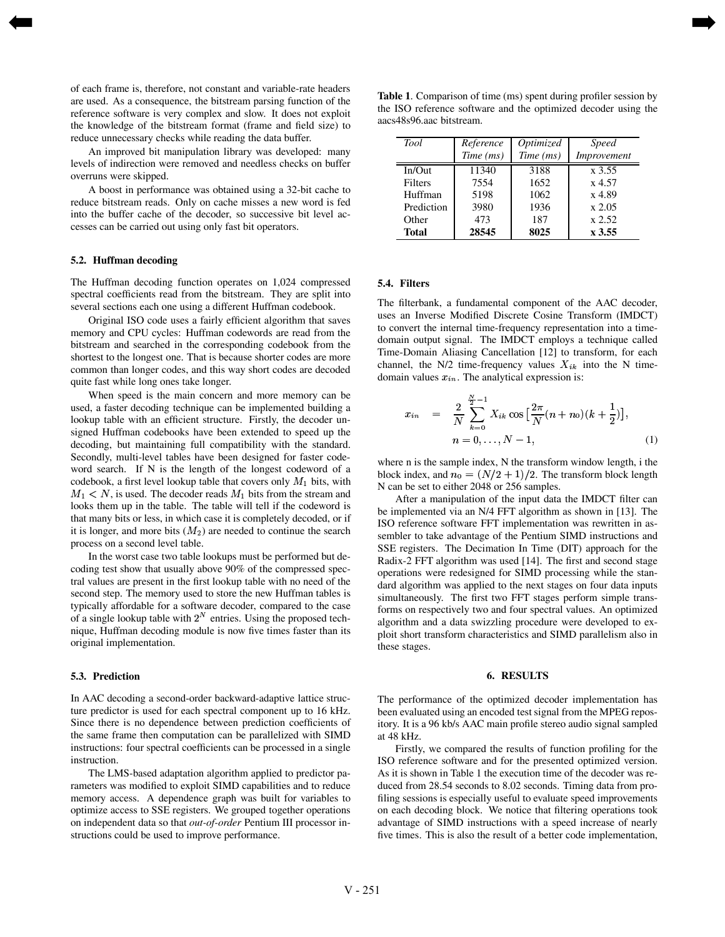of each frame is, therefore, not constant and variable-rate headers are used. As a consequence, the bitstream parsing function of the reference software is very complex and slow. It does not exploit the knowledge of the bitstream format (frame and field size) to reduce unnecessary checks while reading the data buffer.

An improved bit manipulation library was developed: many levels of indirection were removed and needless checks on buffer overruns were skipped.

A boost in performance was obtained using a 32-bit cache to reduce bitstream reads. Only on cache misses a new word is fed into the buffer cache of the decoder, so successive bit level accesses can be carried out using only fast bit operators.

#### **5.2. Huffman decoding**

<span id="page-2-0"></span>[➡](#page-1-0)

The Huffman decoding function operates on 1,024 compressed spectral coefficients read from the bitstream. They are split into several sections each one using a different Huffman codebook.

Original ISO code uses a fairly efficient algorithm that saves memory and CPU cycles: Huffman codewords are read from the bitstream and searched in the corresponding codebook from the shortest to the longest one. That is because shorter codes are more common than longer codes, and this way short codes are decoded quite fast while long ones take longer.

When speed is the main concern and more memory can be used, a faster decoding technique can be implemented building a lookup table with an efficient structure. Firstly, the decoder unsigned Huffman codebooks have been extended to speed up the decoding, but maintaining full compatibility with the standard. Secondly, multi-level tables have been designed for faster codeword search. If N is the length of the longest codeword of a codebook, a first level lookup table that covers only  $M_1$  bits, with  $M_1 < N$ , is used. The decoder reads  $M_1$  bits from the stream and looks them up in the table. The table will tell if the codeword is that many bits or less, in which case it is completely decoded, or if it is longer, and more bits  $(M_2)$  are needed to continue the search process on a second level table.

In the worst case two table lookups must be performed but decoding test show that usually above 90% of the compressed spectral values are present in the first lookup table with no need of the second step. The memory used to store the new Huffman tables is typically affordable for a software decoder, compared to the case of a single lookup table with  $2^N$  entries. Using the proposed technique, Huffman decoding module is now five times faster than its original implementation.

#### **5.3. Prediction**

In AAC decoding a second-order backward-adaptive lattice structure predictor is used for each spectral component up to 16 kHz. Since there is no dependence between prediction coefficients of the same frame then computation can be parallelized with SIMD instructions: four spectral coefficients can be processed in a single instruction.

The LMS-based adaptation algorithm applied to predictor parameters was modified to exploit SIMD capabilities and to reduce memory access. A dependence graph was built for variables to optimize access to SSE registers. We grouped together operations on independent data so that *out-of-order* Pentium III processor instructions could be used to improve performance.

**Table 1**. Comparison of time (ms) spent during profiler session by the ISO reference software and the optimized decoder using the aacs48s96.aac bitstream.

| <b>Tool</b>  | Reference | Optimized | <i>Speed</i> |
|--------------|-----------|-----------|--------------|
|              | Time (ms) | Time (ms) | Improvement  |
| In/Out       | 11340     | 3188      | x 3.55       |
| Filters      | 7554      | 1652      | x 4.57       |
| Huffman      | 5198      | 1062      | x 4.89       |
| Prediction   | 3980      | 1936      | $x\,2.05$    |
| Other        | 473       | 187       | x 2.52       |
| <b>Total</b> | 28545     | 8025      | x 3.55       |

#### **5.4. Filters**

[➡](#page-3-0)

The filterbank, a fundamental component of the AAC decoder, uses an Inverse Modified Discrete Cosine Transform (IMDCT) to convert the internal time-frequency representation into a timedomain output signal. The IMDCT employs a technique called Time-Domain Aliasing Cancellation [12] to transform, for each channel, the N/2 time-frequency values  $X_{ik}$  into the N timedomain values  $x_{in}$ . The analytical expression is:

$$
x_{in} = \frac{2}{N} \sum_{k=0}^{\frac{N}{2}-1} X_{ik} \cos \left[\frac{2\pi}{N}(n+n_0)(k+\frac{1}{2})\right],
$$
  
\n
$$
n = 0, \dots, N-1,
$$
 (1)

where n is the sample index, N the transform window length, i the block index, and  $n_0 = (N/2 + 1)/2$ . The transform block length ) <sup>+</sup> N can be set to either 2048 or 256 samples.

After a manipulation of the input data the IMDCT filter can be implemented via an N/4 FFT algorithm as shown in [13]. The ISO reference software FFT implementation was rewritten in assembler to take advantage of the Pentium SIMD instructions and SSE registers. The Decimation In Time (DIT) approach for the Radix-2 FFT algorithm was used [14]. The first and second stage operations were redesigned for SIMD processing while the standard algorithm was applied to the next stages on four data inputs simultaneously. The first two FFT stages perform simple transforms on respectively two and four spectral values. An optimized algorithm and a data swizzling procedure were developed to exploit short transform characteristics and SIMD parallelism also in these stages.

#### **6. RESULTS**

The performance of the optimized decoder implementation has been evaluated using an encoded test signal from the MPEG repository. It is a 96 kb/s AAC main profile stereo audio signal sampled at 48 kHz.

Firstly, we compared the results of function profiling for the ISO reference software and for the presented optimized version. As it is shown in Table 1 the execution time of the decoder was reduced from 28.54 seconds to 8.02 seconds. Timing data from profiling sessions is especially useful to evaluate speed improvements on each decoding block. We notice that filtering operations took advantage of SIMD instructions with a speed increase of nearly five times. This is also the result of a better code implementation,